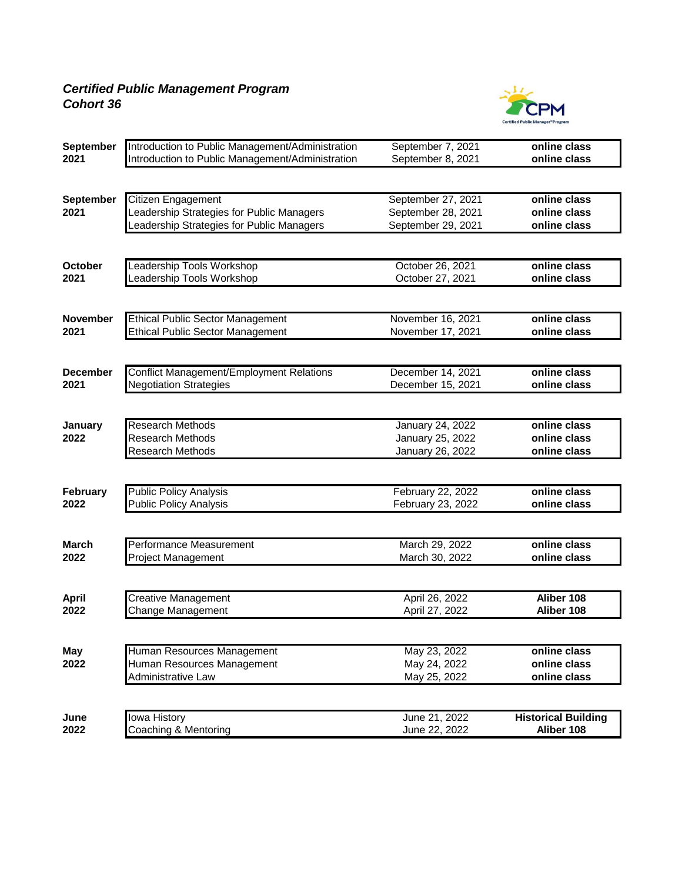## *Certified Public Management Program Cohort 36*



| September       | Introduction to Public Management/Administration | September 7, 2021       | online class               |
|-----------------|--------------------------------------------------|-------------------------|----------------------------|
| 2021            | Introduction to Public Management/Administration | September 8, 2021       | online class               |
|                 |                                                  |                         |                            |
| September       | Citizen Engagement                               | September 27, 2021      | online class               |
| 2021            | Leadership Strategies for Public Managers        | September 28, 2021      | online class               |
|                 | Leadership Strategies for Public Managers        | September 29, 2021      | online class               |
|                 |                                                  |                         |                            |
| <b>October</b>  | Leadership Tools Workshop                        | October 26, 2021        | online class               |
| 2021            | Leadership Tools Workshop                        | October 27, 2021        | online class               |
|                 |                                                  |                         |                            |
| <b>November</b> | <b>Ethical Public Sector Management</b>          | November 16, 2021       | online class               |
| 2021            | <b>Ethical Public Sector Management</b>          | November 17, 2021       | online class               |
|                 |                                                  |                         |                            |
| <b>December</b> | <b>Conflict Management/Employment Relations</b>  | December 14, 2021       | online class               |
| 2021            | <b>Negotiation Strategies</b>                    | December 15, 2021       | online class               |
|                 |                                                  |                         |                            |
| January         | <b>Research Methods</b>                          | <b>January 24, 2022</b> | online class               |
| 2022            | <b>Research Methods</b>                          | January 25, 2022        | online class               |
|                 | <b>Research Methods</b>                          | January 26, 2022        | online class               |
|                 |                                                  |                         |                            |
| <b>February</b> | <b>Public Policy Analysis</b>                    | February 22, 2022       | online class               |
| 2022            | <b>Public Policy Analysis</b>                    | February 23, 2022       | online class               |
|                 |                                                  |                         |                            |
| <b>March</b>    | Performance Measurement                          | March 29, 2022          | online class               |
| 2022            | <b>Project Management</b>                        | March 30, 2022          | online class               |
|                 |                                                  |                         |                            |
| <b>April</b>    | <b>Creative Management</b>                       | April 26, 2022          | Aliber 108                 |
| 2022            | Change Management                                | April 27, 2022          | Aliber 108                 |
|                 |                                                  |                         |                            |
| May             | Human Resources Management                       | May 23, 2022            | online class               |
| 2022            | Human Resources Management                       | May 24, 2022            | online class               |
|                 | Administrative Law                               | May 25, 2022            | online class               |
|                 |                                                  |                         |                            |
| June            | Iowa History                                     | June 21, 2022           | <b>Historical Building</b> |
| 2022            | Coaching & Mentoring                             | June 22, 2022           | Aliber 108                 |